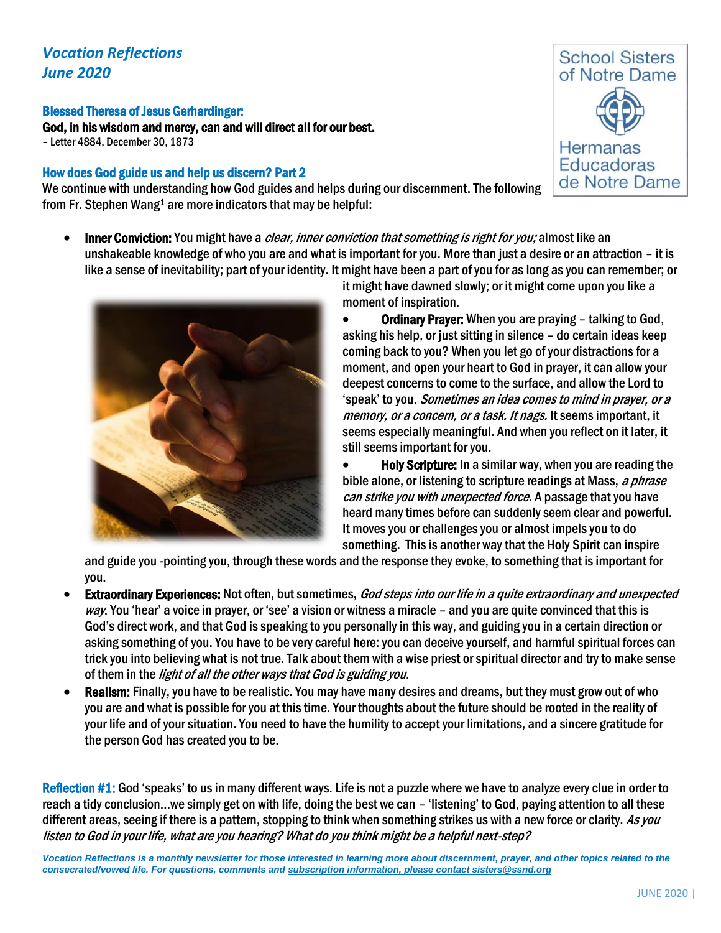## *Vocation Reflections June 2020*

## Blessed Theresa of Jesus Gerhardinger:

God, in his wisdom and mercy, can and will direct all for our best. – Letter 4884, December 30, 1873

## How does God guide us and help us discern? Part 2

We continue with understanding how God guides and helps during our discernment. The following from Fr. Stephen Wang<sup>1</sup> are more indicators that may be helpful:

Inner Conviction: You might have a *clear, inner conviction that something is right for you;* almost like an unshakeable knowledge of who you are and what is important for you. More than just a desire or an attraction – it is like a sense of inevitability; part of your identity. It might have been a part of you for as long as you can remember; or



it might have dawned slowly; or it might come upon you like a moment of inspiration.

• Ordinary Prayer: When you are praying – talking to God, asking his help, or just sitting in silence – do certain ideas keep coming back to you? When you let go of your distractions for a moment, and open your heart to God in prayer, it can allow your deepest concernsto come to the surface, and allow the Lord to 'speak' to you. Sometimes an idea comes to mind in prayer, or a memory, or a concern, or a task. It nags. It seems important, it seems especially meaningful. And when you reflect on it later, it still seems important for you.

• Holy Scripture: In a similar way, when you are reading the bible alone, or listening to scripture readings at Mass, a phrase can strike you with unexpected force. A passage that you have heard many times before can suddenly seem clear and powerful. It moves you or challenges you or almost impels you to do something. This is another way that the Holy Spirit can inspire

and guide you -pointing you, through these words and the response they evoke, to something that is important for you.

- **Extraordinary Experiences:** Not often, but sometimes, God steps into our life in a quite extraordinary and unexpected way. You 'hear' a voice in prayer, or 'see' a vision or witness a miracle – and you are quite convinced that this is God's direct work, and that God is speaking to you personally in this way, and guiding you in a certain direction or asking something of you. You have to be very careful here: you can deceive yourself, and harmful spiritual forces can trick you into believing what is not true. Talk about them with a wise priest or spiritual director and try to make sense of them in the *light of all the other ways that God is guiding you*.
- Realism: Finally, you have to be realistic. You may have many desires and dreams, but they must grow out of who you are and what is possible for you at this time. Your thoughts about the future should be rooted in the reality of your life and of your situation. You need to have the humility to accept your limitations, and a sincere gratitude for the person God has created you to be.

Reflection #1: God 'speaks' to us in many different ways. Life is not a puzzle where we have to analyze every clue in order to reach a tidy conclusion…we simply get on with life, doing the best we can – 'listening' to God, paying attention to all these different areas, seeing if there is a pattern, stopping to think when something strikes us with a new force or clarity. As you listen to God in your life, what are you hearing? What do you think might be a helpful next-step?

*Vocation Reflections is a monthly newsletter for those interested in learning more about discernment, prayer, and other topics related to the consecrated/vowed life. For questions, comments and subscription information, please contact sisters@ssnd.org*